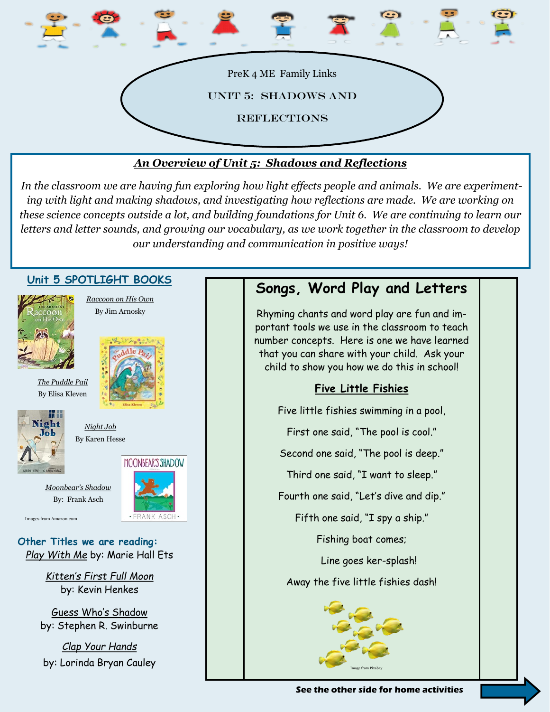

### *An Overview of Unit 5: Shadows and Reflections*

*In the classroom we are having fun exploring how light effects people and animals. We are experimenting with light and making shadows, and investigating how reflections are made. We are working on these science concepts outside a lot, and building foundations for Unit 6. We are continuing to learn our letters and letter sounds, and growing our vocabulary, as we work together in the classroom to develop our understanding and communication in positive ways!*



**See the other side for home activities**